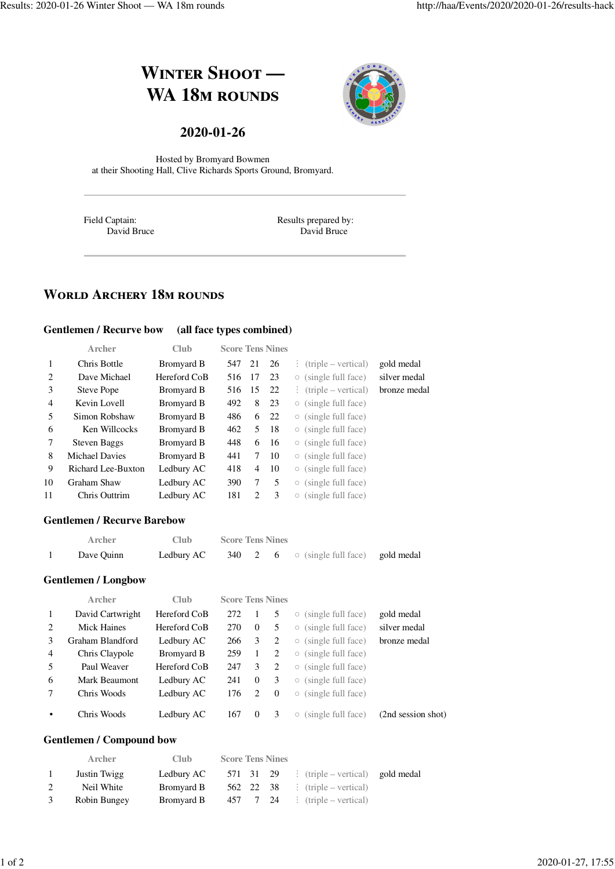# **WINTER SHOOT** — **WA 18M ROUNDS**



## **2020-01-26**

Hosted by Bromyard Bowmen at their Shooting Hall, Clive Richards Sports Ground, Bromyard.

Field Captain: David Bruce Results prepared by: David Bruce

# **WORLD ARCHERY 18M ROUNDS**

#### **Gentlemen / Recurve bow (all face types combined)**

|                | Archer                    | Club              | <b>Score Tens Nines</b> |                             |      |            |                                  |              |
|----------------|---------------------------|-------------------|-------------------------|-----------------------------|------|------------|----------------------------------|--------------|
| 1              | Chris Bottle              | <b>Bromyard B</b> | 547                     | 21                          | -26  |            | $\therefore$ (triple – vertical) | gold medal   |
| 2              | Dave Michael              | Hereford CoB      | 516                     | 17                          | 23   |            | $\circ$ (single full face)       | silver medal |
| 3              | Steve Pope                | Bromyard B        | 516                     | 15                          | 22   |            | $\therefore$ (triple – vertical) | bronze medal |
| $\overline{4}$ | Kevin Lovell              | <b>Bromyard B</b> | 492                     | 8                           | 23   |            | $\circ$ (single full face)       |              |
| 5              | Simon Robshaw             | Bromyard B        | 486                     | 6                           | - 22 |            | $\circ$ (single full face)       |              |
| 6              | Ken Willcocks             | <b>Bromyard B</b> | 462                     | 5                           | -18  |            | $\circ$ (single full face)       |              |
| 7              | <b>Steven Baggs</b>       | <b>Bromyard B</b> | 448                     | 6                           | - 16 |            | $\circ$ (single full face)       |              |
| 8              | <b>Michael Davies</b>     | <b>Bromyard B</b> | 441                     | 7                           | -10  |            | $\circ$ (single full face)       |              |
| 9              | <b>Richard Lee-Buxton</b> | Ledbury AC        | 418                     | 4                           | 10   |            | $\circ$ (single full face)       |              |
| 10             | Graham Shaw               | Ledbury AC        | 390                     | 7                           | 5    |            | $\circ$ (single full face)       |              |
| 11             | Chris Outtrim             | Ledbury AC        | 181                     | $\mathcal{D}_{\mathcal{L}}$ | 3    | $\bigcirc$ | (single full face)               |              |

#### **Gentlemen / Recurve Barebow**

| Archer     | Club. | <b>Score Tens Nines</b> |  |                                                                 |  |
|------------|-------|-------------------------|--|-----------------------------------------------------------------|--|
| Dave Ouinn |       |                         |  | <b>Ledbury AC</b> 340 2 6 $\circ$ (single full face) gold medal |  |

#### **Gentlemen / Longbow**

|                | <b>Archer</b>    | Club         | <b>Score Tens Nines</b> |          |          |                                           |                    |
|----------------|------------------|--------------|-------------------------|----------|----------|-------------------------------------------|--------------------|
| $\mathbf{1}$   | David Cartwright | Hereford CoB | 272                     |          |          | (single full face)<br>$\circ$             | gold medal         |
| 2              | Mick Haines      | Hereford CoB | 270                     | $\left($ | 5        | (single full face)<br>$\bigcirc$          | silver medal       |
| 3              | Graham Blandford | Ledbury AC   | 266                     | 3        | 2        | (single full face)<br>$\circlearrowright$ | bronze medal       |
| $\overline{4}$ | Chris Claypole   | Bromyard B   | 259                     | 1        | 2        | $\circ$ (single full face)                |                    |
| 5              | Paul Weaver      | Hereford CoB | 247                     | 3        | 2        | (single full face)<br>$\circlearrowright$ |                    |
| 6              | Mark Beaumont    | Ledbury AC   | 241                     | $\Omega$ | 3        | (single full face)<br>$\circlearrowright$ |                    |
| 7              | Chris Woods      | Ledbury AC   | 176                     |          | $\Omega$ | (single full face)<br>$\circlearrowright$ |                    |
| $\bullet$      | Chris Woods      | Ledbury AC   | 167                     | $\Omega$ | 3        | (single full face)<br>$\circlearrowright$ | (2nd session shot) |

#### **Gentlemen / Compound bow**

|    | <b>Archer</b> | Club.      | <b>Score Tens Nines</b> |  |  |                                                          |  |
|----|---------------|------------|-------------------------|--|--|----------------------------------------------------------|--|
| -1 | Justin Twigg  | Ledbury AC |                         |  |  | 571 31 29 : $(\text{triple}-\text{vertical})$ gold medal |  |
| 2  | Neil White    | Bromyard B |                         |  |  | 562 22 38 $\vdots$ (triple – vertical)                   |  |
|    | Robin Bungey  | Bromyard B |                         |  |  | 457 7 24 : $(\text{triple}-\text{vertical})$             |  |